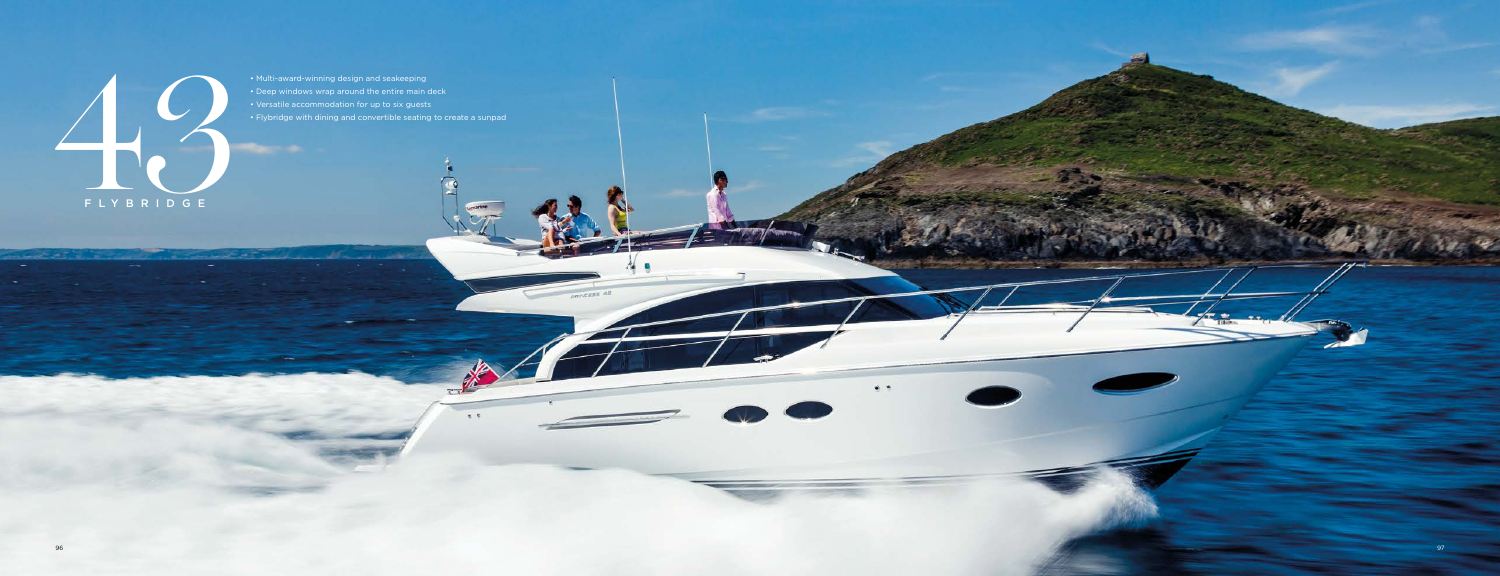

- Multi-award-winning design and seakeeping
- Deep windows wrap around the entire main deck
- Versatile accommodation for up to six guests
- 

 $\tau$ 

 $\epsilon$   $\epsilon$ 

PRINCESS 43

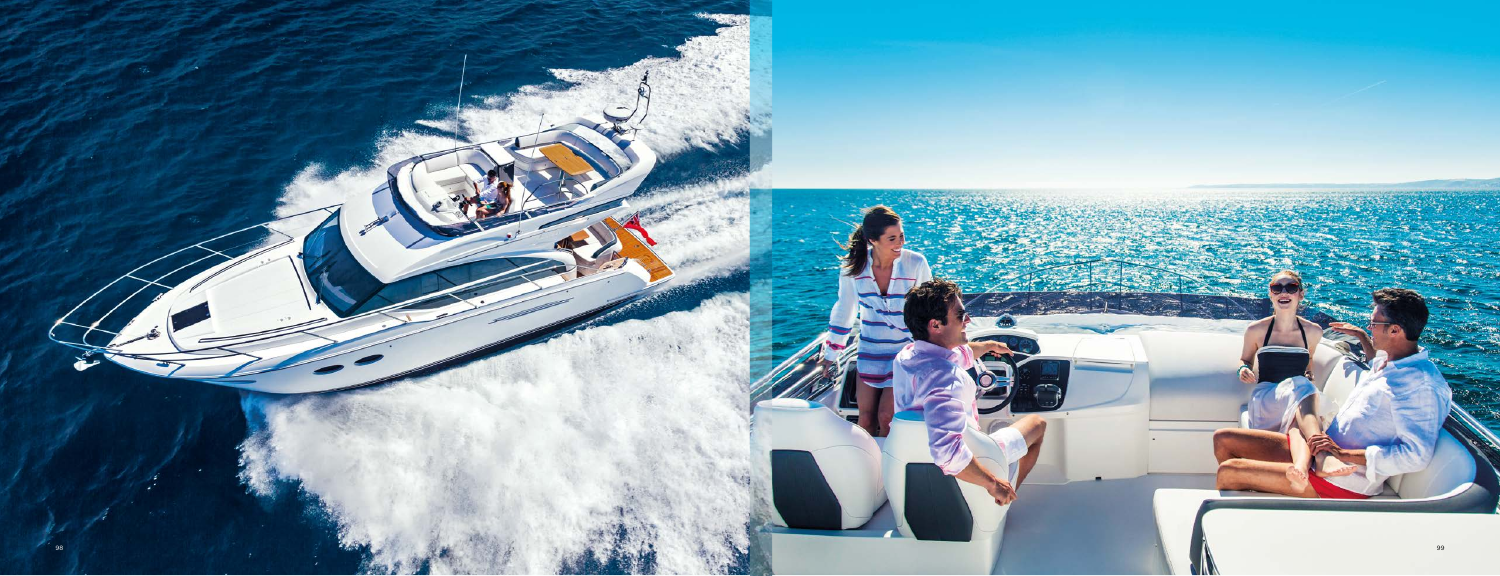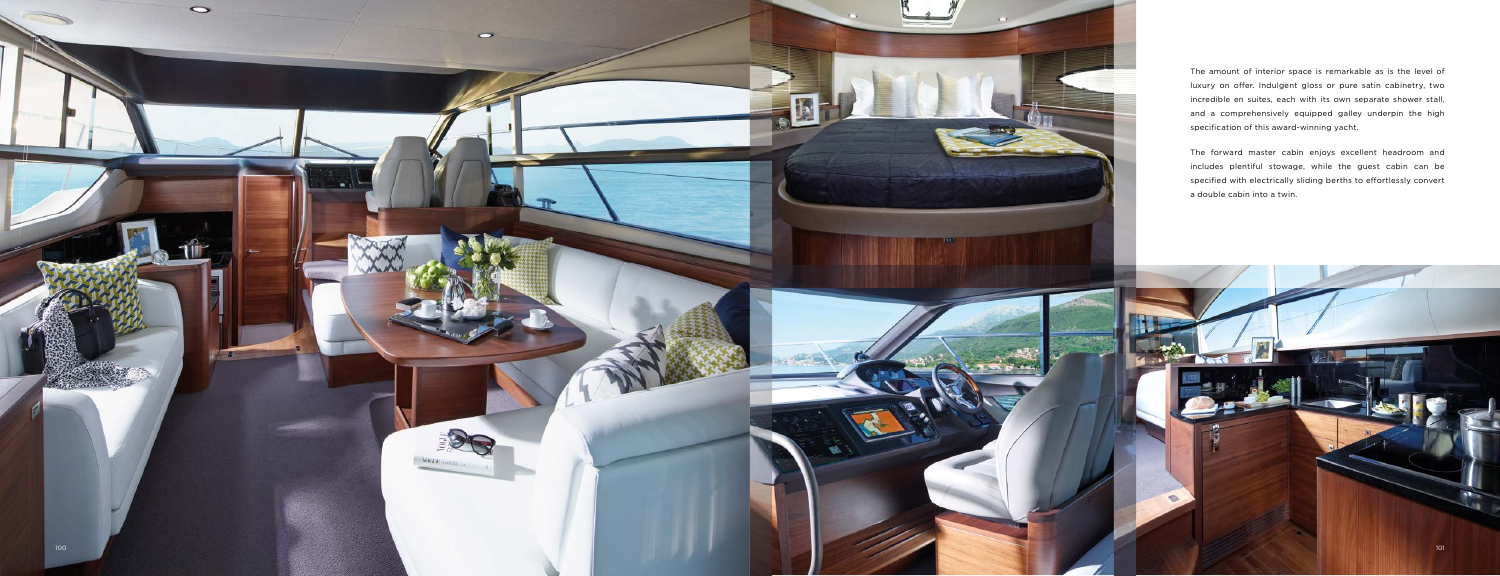

The amount of interior space is remarkable as is the level of luxury on offer. Indulgent gloss or pure satin cabinetry, two incredible en suites, each with its own separate shower stall, and a comprehensively equipped galley underpin the high specification of this award-winning yacht.

The forward master cabin enjoys excellent headroom and includes plentiful stowage, while the guest cabin can be specified with electrically sliding berths to effortlessly convert a double cabin into a twin.